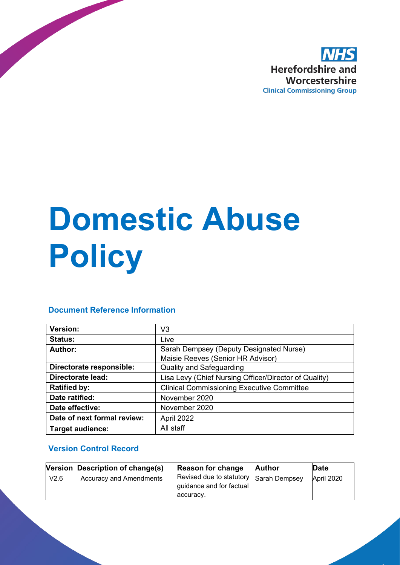

# **Domestic Abuse Policy**

# **Document Reference Information**

| <b>Version:</b>             | V3                                                    |
|-----------------------------|-------------------------------------------------------|
| <b>Status:</b>              | Live                                                  |
| Author:                     | Sarah Dempsey (Deputy Designated Nurse)               |
|                             | Maisie Reeves (Senior HR Advisor)                     |
| Directorate responsible:    | <b>Quality and Safeguarding</b>                       |
| <b>Directorate lead:</b>    | Lisa Levy (Chief Nursing Officer/Director of Quality) |
| <b>Ratified by:</b>         | <b>Clinical Commissioning Executive Committee</b>     |
| Date ratified:              | November 2020                                         |
| Date effective:             | November 2020                                         |
| Date of next formal review: | April 2022                                            |
| <b>Target audience:</b>     | All staff                                             |

# **Version Control Record**

|      | Version Description of change(s) | <b>Reason for change</b>                             | <b>Author</b> | Date       |
|------|----------------------------------|------------------------------------------------------|---------------|------------|
| V2.6 | <b>Accuracy and Amendments</b>   | Revised due to statutory<br>quidance and for factual | Sarah Dempsey | April 2020 |
|      |                                  | accuracv.                                            |               |            |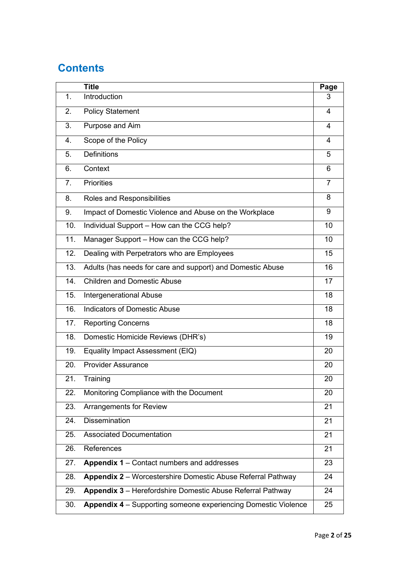# **Contents**

|     | <b>Title</b>                                                   | Page |
|-----|----------------------------------------------------------------|------|
| 1.  | Introduction                                                   | 3    |
| 2.  | <b>Policy Statement</b>                                        | 4    |
| 3.  | Purpose and Aim                                                | 4    |
| 4.  | Scope of the Policy                                            | 4    |
| 5.  | <b>Definitions</b>                                             | 5    |
| 6.  | Context                                                        | 6    |
| 7.  | <b>Priorities</b>                                              | 7    |
| 8.  | Roles and Responsibilities                                     | 8    |
| 9.  | Impact of Domestic Violence and Abuse on the Workplace         | 9    |
| 10. | Individual Support - How can the CCG help?                     | 10   |
| 11. | Manager Support - How can the CCG help?                        | 10   |
| 12. | Dealing with Perpetrators who are Employees                    | 15   |
| 13. | Adults (has needs for care and support) and Domestic Abuse     | 16   |
| 14. | <b>Children and Domestic Abuse</b>                             | 17   |
| 15. | <b>Intergenerational Abuse</b>                                 | 18   |
| 16. | <b>Indicators of Domestic Abuse</b>                            | 18   |
| 17. | <b>Reporting Concerns</b>                                      | 18   |
| 18. | Domestic Homicide Reviews (DHR's)                              | 19   |
| 19. | Equality Impact Assessment (EIQ)                               | 20   |
| 20. | <b>Provider Assurance</b>                                      | 20   |
| 21. | Training                                                       | 20   |
| 22. | Monitoring Compliance with the Document                        | 20   |
| 23. | <b>Arrangements for Review</b>                                 | 21   |
| 24. | <b>Dissemination</b>                                           | 21   |
| 25. | <b>Associated Documentation</b>                                | 21   |
| 26. | References                                                     | 21   |
| 27. | Appendix 1 - Contact numbers and addresses                     | 23   |
| 28. | Appendix 2 - Worcestershire Domestic Abuse Referral Pathway    | 24   |
| 29. | Appendix 3 - Herefordshire Domestic Abuse Referral Pathway     | 24   |
| 30. | Appendix 4 - Supporting someone experiencing Domestic Violence | 25   |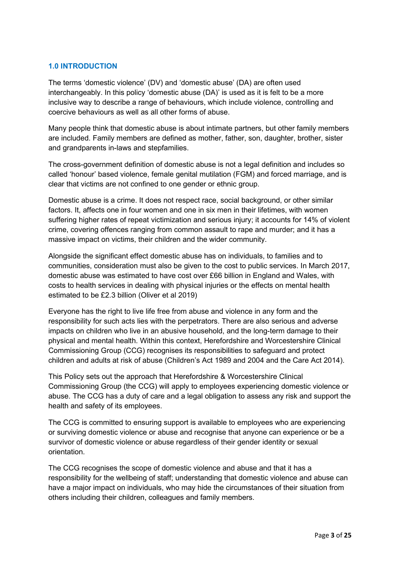# **1.0 INTRODUCTION**

The terms 'domestic violence' (DV) and 'domestic abuse' (DA) are often used interchangeably. In this policy 'domestic abuse (DA)' is used as it is felt to be a more inclusive way to describe a range of behaviours, which include violence, controlling and coercive behaviours as well as all other forms of abuse.

Many people think that domestic abuse is about intimate partners, but other family members are included. Family members are defined as mother, father, son, daughter, brother, sister and grandparents in-laws and stepfamilies.

The cross-government definition of domestic abuse is not a legal definition and includes so called 'honour' based violence, female genital mutilation (FGM) and forced marriage, and is clear that victims are not confined to one gender or ethnic group.

Domestic abuse is a crime. It does not respect race, social background, or other similar factors. It, affects one in four women and one in six men in their lifetimes, with women suffering higher rates of repeat victimization and serious injury; it accounts for 14% of violent crime, covering offences ranging from common assault to rape and murder; and it has a massive impact on victims, their children and the wider community.

Alongside the significant effect domestic abuse has on individuals, to families and to communities, consideration must also be given to the cost to public services. In March 2017, domestic abuse was estimated to have cost over £66 billion in England and Wales, with costs to health services in dealing with physical injuries or the effects on mental health estimated to be £2.3 billion (Oliver et al 2019)

Everyone has the right to live life free from abuse and violence in any form and the responsibility for such acts lies with the perpetrators. There are also serious and adverse impacts on children who live in an abusive household, and the long-term damage to their physical and mental health. Within this context, Herefordshire and Worcestershire Clinical Commissioning Group (CCG) recognises its responsibilities to safeguard and protect children and adults at risk of abuse (Children's Act 1989 and 2004 and the Care Act 2014).

This Policy sets out the approach that Herefordshire & Worcestershire Clinical Commissioning Group (the CCG) will apply to employees experiencing domestic violence or abuse. The CCG has a duty of care and a legal obligation to assess any risk and support the health and safety of its employees.

The CCG is committed to ensuring support is available to employees who are experiencing or surviving domestic violence or abuse and recognise that anyone can experience or be a survivor of domestic violence or abuse regardless of their gender identity or sexual orientation.

The CCG recognises the scope of domestic violence and abuse and that it has a responsibility for the wellbeing of staff; understanding that domestic violence and abuse can have a major impact on individuals, who may hide the circumstances of their situation from others including their children, colleagues and family members.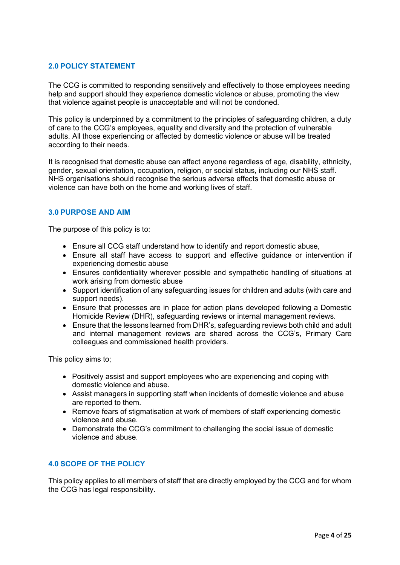# **2.0 POLICY STATEMENT**

The CCG is committed to responding sensitively and effectively to those employees needing help and support should they experience domestic violence or abuse, promoting the view that violence against people is unacceptable and will not be condoned.

This policy is underpinned by a commitment to the principles of safeguarding children, a duty of care to the CCG's employees, equality and diversity and the protection of vulnerable adults. All those experiencing or affected by domestic violence or abuse will be treated according to their needs.

It is recognised that domestic abuse can affect anyone regardless of age, disability, ethnicity, gender, sexual orientation, occupation, religion, or social status, including our NHS staff. NHS organisations should recognise the serious adverse effects that domestic abuse or violence can have both on the home and working lives of staff.

#### **3.0 PURPOSE AND AIM**

The purpose of this policy is to:

- Ensure all CCG staff understand how to identify and report domestic abuse,
- Ensure all staff have access to support and effective guidance or intervention if experiencing domestic abuse
- Ensures confidentiality wherever possible and sympathetic handling of situations at work arising from domestic abuse
- Support identification of any safeguarding issues for children and adults (with care and support needs).
- Ensure that processes are in place for action plans developed following a Domestic Homicide Review (DHR), safeguarding reviews or internal management reviews.
- Ensure that the lessons learned from DHR's, safeguarding reviews both child and adult and internal management reviews are shared across the CCG's, Primary Care colleagues and commissioned health providers.

This policy aims to;

- Positively assist and support employees who are experiencing and coping with domestic violence and abuse.
- Assist managers in supporting staff when incidents of domestic violence and abuse are reported to them.
- Remove fears of stigmatisation at work of members of staff experiencing domestic violence and abuse.
- Demonstrate the CCG's commitment to challenging the social issue of domestic violence and abuse.

#### **4.0 SCOPE OF THE POLICY**

This policy applies to all members of staff that are directly employed by the CCG and for whom the CCG has legal responsibility.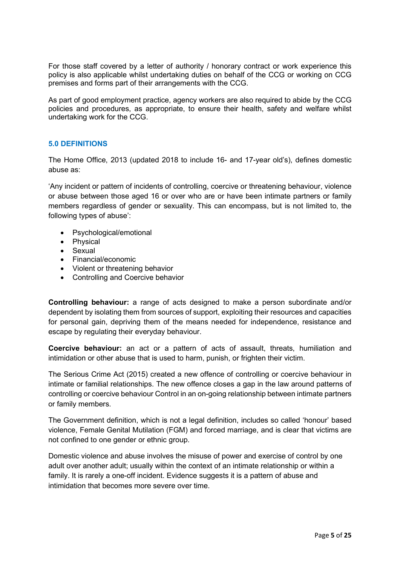For those staff covered by a letter of authority / honorary contract or work experience this policy is also applicable whilst undertaking duties on behalf of the CCG or working on CCG premises and forms part of their arrangements with the CCG.

As part of good employment practice, agency workers are also required to abide by the CCG policies and procedures, as appropriate, to ensure their health, safety and welfare whilst undertaking work for the CCG.

# **5.0 DEFINITIONS**

The Home Office, 2013 (updated 2018 to include 16- and 17-year old's), defines domestic abuse as:

'Any incident or pattern of incidents of controlling, coercive or threatening behaviour, violence or abuse between those aged 16 or over who are or have been intimate partners or family members regardless of gender or sexuality. This can encompass, but is not limited to, the following types of abuse':

- Psychological/emotional
- Physical
- Sexual
- Financial/economic
- Violent or threatening behavior
- Controlling and Coercive behavior

**Controlling behaviour:** a range of acts designed to make a person subordinate and/or dependent by isolating them from sources of support, exploiting their resources and capacities for personal gain, depriving them of the means needed for independence, resistance and escape by regulating their everyday behaviour.

**Coercive behaviour:** an act or a pattern of acts of assault, threats, humiliation and intimidation or other abuse that is used to harm, punish, or frighten their victim.

The Serious Crime Act (2015) created a new offence of controlling or coercive behaviour in intimate or familial relationships. The new offence closes a gap in the law around patterns of controlling or coercive behaviour Control in an on-going relationship between intimate partners or family members.

The Government definition, which is not a legal definition, includes so called 'honour' based violence, Female Genital Mutilation (FGM) and forced marriage, and is clear that victims are not confined to one gender or ethnic group.

Domestic violence and abuse involves the misuse of power and exercise of control by one adult over another adult; usually within the context of an intimate relationship or within a family. It is rarely a one-off incident. Evidence suggests it is a pattern of abuse and intimidation that becomes more severe over time.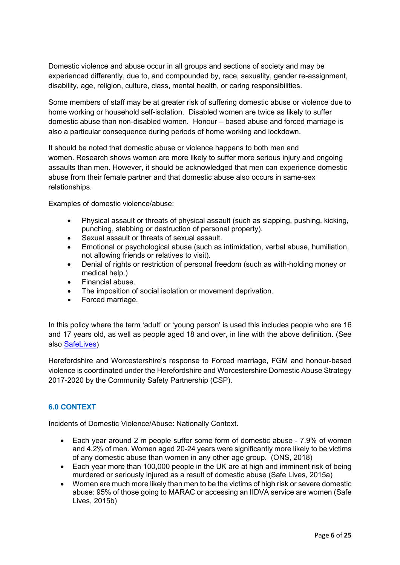Domestic violence and abuse occur in all groups and sections of society and may be experienced differently, due to, and compounded by, race, sexuality, gender re-assignment, disability, age, religion, culture, class, mental health, or caring responsibilities.

Some members of staff may be at greater risk of suffering domestic abuse or violence due to home working or household self-isolation. Disabled women are twice as likely to suffer domestic abuse than non-disabled women. Honour – based abuse and forced marriage is also a particular consequence during periods of home working and lockdown.

It should be noted that domestic abuse or violence happens to both men and women. Research shows women are more likely to suffer more serious injury and ongoing assaults than men. However, it should be acknowledged that men can experience domestic abuse from their female partner and that domestic abuse also occurs in same-sex relationships.

Examples of domestic violence/abuse:

- Physical assault or threats of physical assault (such as slapping, pushing, kicking, punching, stabbing or destruction of personal property).
- Sexual assault or threats of sexual assault.
- Emotional or psychological abuse (such as intimidation, verbal abuse, humiliation, not allowing friends or relatives to visit).
- Denial of rights or restriction of personal freedom (such as with-holding money or medical help.)
- Financial abuse.
- The imposition of social isolation or movement deprivation.
- Forced marriage.

In this policy where the term 'adult' or 'young person' is used this includes people who are 16 and 17 years old, as well as people aged 18 and over, in line with the above definition. (See also [SafeLives\)](http://www.safelives.org.uk/)

Herefordshire and Worcestershire's response to Forced marriage, FGM and honour-based violence is coordinated under the Herefordshire and Worcestershire Domestic Abuse Strategy 2017-2020 by the Community Safety Partnership (CSP).

#### **6.0 CONTEXT**

Incidents of Domestic Violence/Abuse: Nationally Context.

- Each year around 2 m people suffer some form of domestic abuse 7.9% of women and 4.2% of men. Women aged 20-24 years were significantly more likely to be victims of any domestic abuse than women in any other age group. (ONS, 2018)
- Each year more than 100,000 people in the UK are at high and imminent risk of being murdered or seriously injured as a result of domestic abuse (Safe Lives, 2015a)
- Women are much more likely than men to be the victims of high risk or severe domestic abuse: 95% of those going to MARAC or accessing an IIDVA service are women (Safe Lives, 2015b)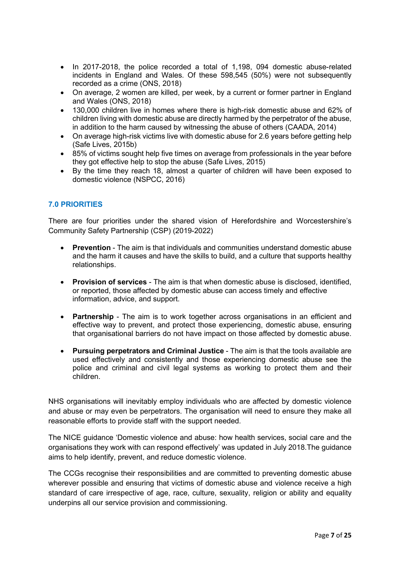- In 2017-2018, the police recorded a total of 1,198, 094 domestic abuse-related incidents in England and Wales. Of these 598,545 (50%) were not subsequently recorded as a crime (ONS, 2018)
- On average, 2 women are killed, per week, by a current or former partner in England and Wales (ONS, 2018)
- 130,000 children live in homes where there is high-risk domestic abuse and 62% of children living with domestic abuse are directly harmed by the perpetrator of the abuse, in addition to the harm caused by witnessing the abuse of others (CAADA, 2014)
- On average high-risk victims live with domestic abuse for 2.6 years before getting help (Safe Lives, 2015b)
- 85% of victims sought help five times on average from professionals in the year before they got effective help to stop the abuse (Safe Lives, 2015)
- By the time they reach 18, almost a quarter of children will have been exposed to domestic violence (NSPCC, 2016)

# **7.0 PRIORITIES**

There are four priorities under the shared vision of Herefordshire and Worcestershire's Community Safety Partnership (CSP) (2019-2022)

- **Prevention** The aim is that individuals and communities understand domestic abuse and the harm it causes and have the skills to build, and a culture that supports healthy relationships.
- **Provision of services** The aim is that when domestic abuse is disclosed, identified, or reported, those affected by domestic abuse can access timely and effective information, advice, and support.
- **Partnership**  The aim is to work together across organisations in an efficient and effective way to prevent, and protect those experiencing, domestic abuse, ensuring that organisational barriers do not have impact on those affected by domestic abuse.
- **Pursuing perpetrators and Criminal Justice** The aim is that the tools available are used effectively and consistently and those experiencing domestic abuse see the police and criminal and civil legal systems as working to protect them and their children.

NHS organisations will inevitably employ individuals who are affected by domestic violence and abuse or may even be perpetrators. The organisation will need to ensure they make all reasonable efforts to provide staff with the support needed.

The NICE guidance 'Domestic violence and abuse: how health services, social care and the organisations they work with can respond effectively' was updated in July 2018.The guidance aims to help identify, prevent, and reduce domestic violence.

The CCGs recognise their responsibilities and are committed to preventing domestic abuse wherever possible and ensuring that victims of domestic abuse and violence receive a high standard of care irrespective of age, race, culture, sexuality, religion or ability and equality underpins all our service provision and commissioning.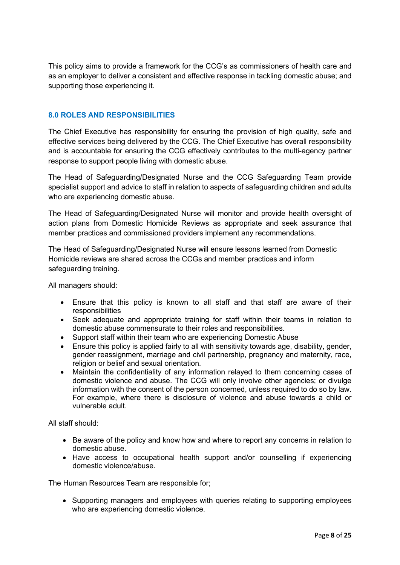This policy aims to provide a framework for the CCG's as commissioners of health care and as an employer to deliver a consistent and effective response in tackling domestic abuse; and supporting those experiencing it.

# **8.0 ROLES AND RESPONSIBILITIES**

The Chief Executive has responsibility for ensuring the provision of high quality, safe and effective services being delivered by the CCG. The Chief Executive has overall responsibility and is accountable for ensuring the CCG effectively contributes to the multi-agency partner response to support people living with domestic abuse.

The Head of Safeguarding/Designated Nurse and the CCG Safeguarding Team provide specialist support and advice to staff in relation to aspects of safeguarding children and adults who are experiencing domestic abuse.

The Head of Safeguarding/Designated Nurse will monitor and provide health oversight of action plans from Domestic Homicide Reviews as appropriate and seek assurance that member practices and commissioned providers implement any recommendations.

The Head of Safeguarding/Designated Nurse will ensure lessons learned from Domestic Homicide reviews are shared across the CCGs and member practices and inform safeguarding training.

All managers should:

- Ensure that this policy is known to all staff and that staff are aware of their responsibilities
- Seek adequate and appropriate training for staff within their teams in relation to domestic abuse commensurate to their roles and responsibilities.
- Support staff within their team who are experiencing Domestic Abuse
- Ensure this policy is applied fairly to all with sensitivity towards age, disability, gender, gender reassignment, marriage and civil partnership, pregnancy and maternity, race, religion or belief and sexual orientation.
- Maintain the confidentiality of any information relayed to them concerning cases of domestic violence and abuse. The CCG will only involve other agencies; or divulge information with the consent of the person concerned, unless required to do so by law. For example, where there is disclosure of violence and abuse towards a child or vulnerable adult.

All staff should:

- Be aware of the policy and know how and where to report any concerns in relation to domestic abuse.
- Have access to occupational health support and/or counselling if experiencing domestic violence/abuse.

The Human Resources Team are responsible for;

• Supporting managers and employees with queries relating to supporting employees who are experiencing domestic violence.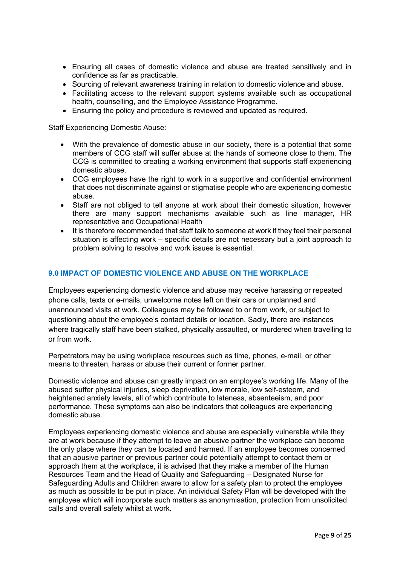- Ensuring all cases of domestic violence and abuse are treated sensitively and in confidence as far as practicable.
- Sourcing of relevant awareness training in relation to domestic violence and abuse.
- Facilitating access to the relevant support systems available such as occupational health, counselling, and the Employee Assistance Programme.
- Ensuring the policy and procedure is reviewed and updated as required.

Staff Experiencing Domestic Abuse:

- With the prevalence of domestic abuse in our society, there is a potential that some members of CCG staff will suffer abuse at the hands of someone close to them. The CCG is committed to creating a working environment that supports staff experiencing domestic abuse.
- CCG employees have the right to work in a supportive and confidential environment that does not discriminate against or stigmatise people who are experiencing domestic abuse.
- Staff are not obliged to tell anyone at work about their domestic situation, however there are many support mechanisms available such as line manager, HR representative and Occupational Health
- It is therefore recommended that staff talk to someone at work if they feel their personal situation is affecting work – specific details are not necessary but a joint approach to problem solving to resolve and work issues is essential.

# **9.0 IMPACT OF DOMESTIC VIOLENCE AND ABUSE ON THE WORKPLACE**

Employees experiencing domestic violence and abuse may receive harassing or repeated phone calls, texts or e-mails, unwelcome notes left on their cars or unplanned and unannounced visits at work. Colleagues may be followed to or from work, or subject to questioning about the employee's contact details or location. Sadly, there are instances where tragically staff have been stalked, physically assaulted, or murdered when travelling to or from work.

Perpetrators may be using workplace resources such as time, phones, e-mail, or other means to threaten, harass or abuse their current or former partner.

Domestic violence and abuse can greatly impact on an employee's working life. Many of the abused suffer physical injuries, sleep deprivation, low morale, low self-esteem, and heightened anxiety levels, all of which contribute to lateness, absenteeism, and poor performance. These symptoms can also be indicators that colleagues are experiencing domestic abuse.

Employees experiencing domestic violence and abuse are especially vulnerable while they are at work because if they attempt to leave an abusive partner the workplace can become the only place where they can be located and harmed. If an employee becomes concerned that an abusive partner or previous partner could potentially attempt to contact them or approach them at the workplace, it is advised that they make a member of the Human Resources Team and the Head of Quality and Safeguarding – Designated Nurse for Safeguarding Adults and Children aware to allow for a safety plan to protect the employee as much as possible to be put in place. An individual Safety Plan will be developed with the employee which will incorporate such matters as anonymisation, protection from unsolicited calls and overall safety whilst at work.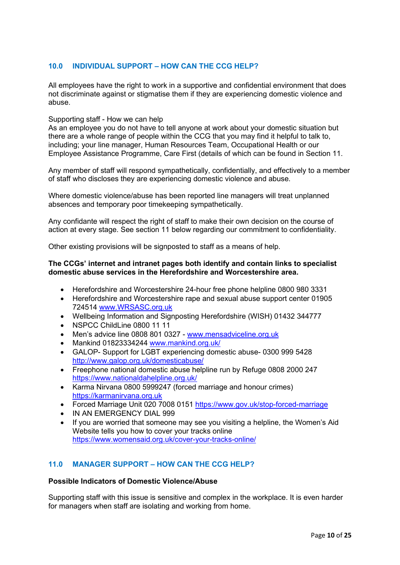# **10.0 INDIVIDUAL SUPPORT – HOW CAN THE CCG HELP?**

All employees have the right to work in a supportive and confidential environment that does not discriminate against or stigmatise them if they are experiencing domestic violence and abuse.

#### Supporting staff - How we can help

As an employee you do not have to tell anyone at work about your domestic situation but there are a whole range of people within the CCG that you may find it helpful to talk to, including; your line manager, Human Resources Team, Occupational Health or our Employee Assistance Programme, Care First (details of which can be found in Section 11.

Any member of staff will respond sympathetically, confidentially, and effectively to a member of staff who discloses they are experiencing domestic violence and abuse.

Where domestic violence/abuse has been reported line managers will treat unplanned absences and temporary poor timekeeping sympathetically.

Any confidante will respect the right of staff to make their own decision on the course of action at every stage. See section 11 below regarding our commitment to confidentiality.

Other existing provisions will be signposted to staff as a means of help.

#### **The CCGs' internet and intranet pages both identify and contain links to specialist domestic abuse services in the Herefordshire and Worcestershire area.**

- Herefordshire and Worcestershire 24-hour free phone helpline 0800 980 3331
- Herefordshire and Worcestershire rape and sexual abuse support center 01905 724514 [www.WRSASC.org.uk](http://www.wrsasc.org.uk/)
- Wellbeing Information and Signposting Herefordshire (WISH) 01432 344777
- NSPCC ChildLine 0800 11 11
- Men's advice line 0808 801 0327 [www.mensadviceline.org.uk](http://www.mensadviceline.org.uk/)
- Mankind 01823334244 [www.mankind.org.uk/](http://www.mankind.org.uk/)
- GALOP- Support for LGBT experiencing domestic abuse- 0300 999 5428 <http://www.galop.org.uk/domesticabuse/>
- Freephone national domestic abuse helpline run by Refuge 0808 2000 247 <https://www.nationaldahelpline.org.uk/>
- Karma Nirvana 0800 5999247 (forced marriage and honour crimes) [https://karmanirvana.org.uk](https://karmanirvana.org.uk/)
- Forced Marriage Unit 020 7008 0151<https://www.gov.uk/stop-forced-marriage>
- IN AN EMERGENCY DIAL 999
- If you are worried that someone may see you visiting a helpline, the Women's Aid Website tells you how to cover your tracks online <https://www.womensaid.org.uk/cover-your-tracks-online/>

# **11.0 MANAGER SUPPORT – HOW CAN THE CCG HELP?**

#### **Possible Indicators of Domestic Violence/Abuse**

Supporting staff with this issue is sensitive and complex in the workplace. It is even harder for managers when staff are isolating and working from home.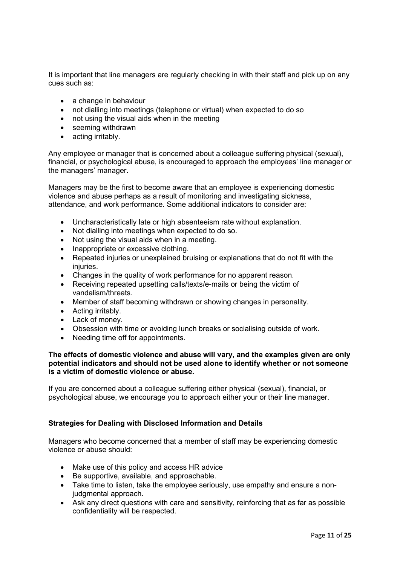It is important that line managers are regularly checking in with their staff and pick up on any cues such as:

- a change in behaviour
- not dialling into meetings (telephone or virtual) when expected to do so
- not using the visual aids when in the meeting
- seeming withdrawn
- acting irritably.

Any employee or manager that is concerned about a colleague suffering physical (sexual), financial, or psychological abuse, is encouraged to approach the employees' line manager or the managers' manager.

Managers may be the first to become aware that an employee is experiencing domestic violence and abuse perhaps as a result of monitoring and investigating sickness, attendance, and work performance. Some additional indicators to consider are:

- Uncharacteristically late or high absenteeism rate without explanation.
- Not dialling into meetings when expected to do so.
- Not using the visual aids when in a meeting.
- Inappropriate or excessive clothing.
- Repeated injuries or unexplained bruising or explanations that do not fit with the injuries.
- Changes in the quality of work performance for no apparent reason.
- Receiving repeated upsetting calls/texts/e-mails or being the victim of vandalism/threats.
- Member of staff becoming withdrawn or showing changes in personality.
- Acting irritably.
- Lack of money.
- Obsession with time or avoiding lunch breaks or socialising outside of work.
- Needing time off for appointments.

#### **The effects of domestic violence and abuse will vary, and the examples given are only potential indicators and should not be used alone to identify whether or not someone is a victim of domestic violence or abuse.**

If you are concerned about a colleague suffering either physical (sexual), financial, or psychological abuse, we encourage you to approach either your or their line manager.

#### **Strategies for Dealing with Disclosed Information and Details**

Managers who become concerned that a member of staff may be experiencing domestic violence or abuse should:

- Make use of this policy and access HR advice
- Be supportive, available, and approachable.
- Take time to listen, take the employee seriously, use empathy and ensure a nonjudgmental approach.
- Ask any direct questions with care and sensitivity, reinforcing that as far as possible confidentiality will be respected.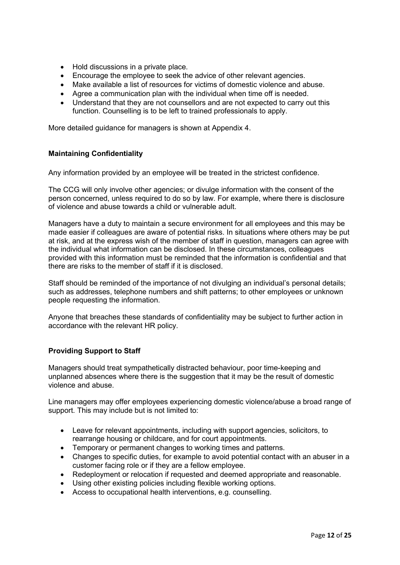- Hold discussions in a private place.
- Encourage the employee to seek the advice of other relevant agencies.
- Make available a list of resources for victims of domestic violence and abuse.
- Agree a communication plan with the individual when time off is needed.
- Understand that they are not counsellors and are not expected to carry out this function. Counselling is to be left to trained professionals to apply.

More detailed guidance for managers is shown at Appendix 4.

#### **Maintaining Confidentiality**

Any information provided by an employee will be treated in the strictest confidence.

The CCG will only involve other agencies; or divulge information with the consent of the person concerned, unless required to do so by law. For example, where there is disclosure of violence and abuse towards a child or vulnerable adult.

Managers have a duty to maintain a secure environment for all employees and this may be made easier if colleagues are aware of potential risks. In situations where others may be put at risk, and at the express wish of the member of staff in question, managers can agree with the individual what information can be disclosed. In these circumstances, colleagues provided with this information must be reminded that the information is confidential and that there are risks to the member of staff if it is disclosed.

Staff should be reminded of the importance of not divulging an individual's personal details; such as addresses, telephone numbers and shift patterns; to other employees or unknown people requesting the information.

Anyone that breaches these standards of confidentiality may be subject to further action in accordance with the relevant HR policy.

#### **Providing Support to Staff**

Managers should treat sympathetically distracted behaviour, poor time-keeping and unplanned absences where there is the suggestion that it may be the result of domestic violence and abuse.

Line managers may offer employees experiencing domestic violence/abuse a broad range of support. This may include but is not limited to:

- Leave for relevant appointments, including with support agencies, solicitors, to rearrange housing or childcare, and for court appointments.
- Temporary or permanent changes to working times and patterns.
- Changes to specific duties, for example to avoid potential contact with an abuser in a customer facing role or if they are a fellow employee.
- Redeployment or relocation if requested and deemed appropriate and reasonable.
- Using other existing policies including flexible working options.
- Access to occupational health interventions, e.g. counselling.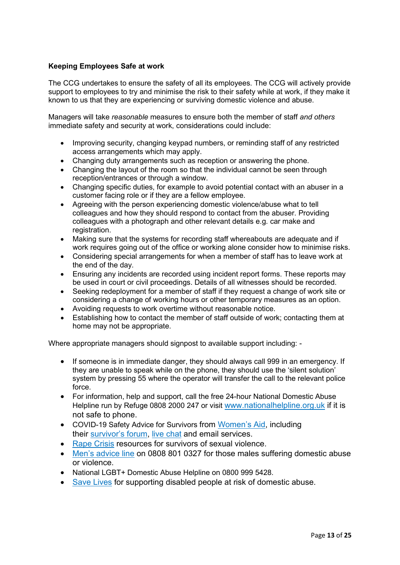# **Keeping Employees Safe at work**

The CCG undertakes to ensure the safety of all its employees. The CCG will actively provide support to employees to try and minimise the risk to their safety while at work, if they make it known to us that they are experiencing or surviving domestic violence and abuse.

Managers will take *reasonable* measures to ensure both the member of staff *and others*  immediate safety and security at work, considerations could include:

- Improving security, changing keypad numbers, or reminding staff of any restricted access arrangements which may apply.
- Changing duty arrangements such as reception or answering the phone.
- Changing the layout of the room so that the individual cannot be seen through reception/entrances or through a window.
- Changing specific duties, for example to avoid potential contact with an abuser in a customer facing role or if they are a fellow employee.
- Agreeing with the person experiencing domestic violence/abuse what to tell colleagues and how they should respond to contact from the abuser. Providing colleagues with a photograph and other relevant details e.g. car make and registration.
- Making sure that the systems for recording staff whereabouts are adequate and if work requires going out of the office or working alone consider how to minimise risks.
- Considering special arrangements for when a member of staff has to leave work at the end of the day.
- Ensuring any incidents are recorded using incident report forms. These reports may be used in court or civil proceedings. Details of all witnesses should be recorded.
- Seeking redeployment for a member of staff if they request a change of work site or considering a change of working hours or other temporary measures as an option.
- Avoiding requests to work overtime without reasonable notice.
- Establishing how to contact the member of staff outside of work; contacting them at home may not be appropriate.

Where appropriate managers should signpost to available support including: -

- If someone is in immediate danger, they should always call 999 in an emergency. If they are unable to speak while on the phone, they should use the 'silent solution' system by pressing 55 where the operator will transfer the call to the relevant police force.
- For information, help and support, call the free 24-hour National Domestic Abuse Helpline run by Refuge 0808 2000 247 or visit [www.nationalhelpline.org.uk](http://www.nationalhelpline.org.uk/) if it is not safe to phone.
- COVID-19 Safety Advice for Survivors from [Women's](https://www.womensaid.org.uk/covid-19-coronavirus-safety-advice-for-survivors/) Aid, including their [survivor's](https://www.womensaid.org.uk/the-survivors-handbook/) forum, live [chat](https://chat.womensaid.org.uk/) and email services.
- Rape [Crisis](https://rapecrisis.org.uk/get-help/coronavirus/) resources for survivors of sexual violence.
- Men's [advice](https://mensadviceline.org.uk/) line on 0808 801 0327 for those males suffering domestic abuse or violence.
- National LGBT+ Domestic Abuse Helpline on 0800 999 5428.
- Save [Lives](http://www.safelives.org.uk/knowledge-hub/spotlights/spotlight-2-disabled-people-and-domestic-abuse) for supporting disabled people at risk of domestic abuse.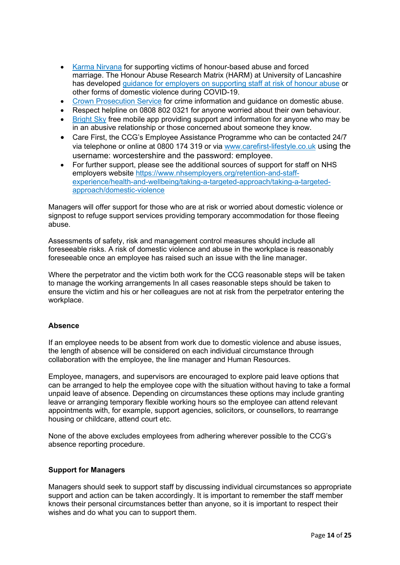- Karma [Nirvana](https://karmanirvana.org.uk/covid-19-were-all-in-this-together/) for supporting victims of honour-based abuse and forced marriage. The Honour Abuse Research Matrix (HARM) at University of Lancashire has developed guidance for employers on [supporting](http://clok.uclan.ac.uk/32886/1/COVID-19%20Response-HARM.pdf) staff at risk of honour abuse or other forms of domestic violence during COVID-19.
- Crown [Prosecution](https://www.cps.gov.uk/domestic-abuse) Service for crime information and guidance on domestic abuse.
- Respect helpline on 0808 802 0321 for anyone worried about their own behaviour.
- [Bright](http://people.nhs.uk/help/support-apps/bright-sky/) Sky free mobile app providing support and information for anyone who may be in an abusive relationship or those concerned about someone they know.
- Care First, the CCG's Employee Assistance Programme who can be contacted 24/7 via telephone or online at 0800 174 319 or via [www.carefirst-lifestyle.co.uk](http://www.carefirst-lifestyle.co.uk/) using the username: worcestershire and the password: employee.
- For further support, please see the additional sources of support for staff on NHS employers website [https://www.nhsemployers.org/retention-and-staff](https://www.nhsemployers.org/retention-and-staff-experience/health-and-wellbeing/taking-a-targeted-approach/taking-a-targeted-approach/domestic-violence)[experience/health-and-wellbeing/taking-a-targeted-approach/taking-a-targeted](https://www.nhsemployers.org/retention-and-staff-experience/health-and-wellbeing/taking-a-targeted-approach/taking-a-targeted-approach/domestic-violence)[approach/domestic-violence](https://www.nhsemployers.org/retention-and-staff-experience/health-and-wellbeing/taking-a-targeted-approach/taking-a-targeted-approach/domestic-violence)

Managers will offer support for those who are at risk or worried about domestic violence or signpost to refuge support services providing temporary accommodation for those fleeing abuse.

Assessments of safety, risk and management control measures should include all foreseeable risks. A risk of domestic violence and abuse in the workplace is reasonably foreseeable once an employee has raised such an issue with the line manager.

Where the perpetrator and the victim both work for the CCG reasonable steps will be taken to manage the working arrangements In all cases reasonable steps should be taken to ensure the victim and his or her colleagues are not at risk from the perpetrator entering the workplace.

#### **Absence**

If an employee needs to be absent from work due to domestic violence and abuse issues, the length of absence will be considered on each individual circumstance through collaboration with the employee, the line manager and Human Resources.

Employee, managers, and supervisors are encouraged to explore paid leave options that can be arranged to help the employee cope with the situation without having to take a formal unpaid leave of absence. Depending on circumstances these options may include granting leave or arranging temporary flexible working hours so the employee can attend relevant appointments with, for example, support agencies, solicitors, or counsellors, to rearrange housing or childcare, attend court etc.

None of the above excludes employees from adhering wherever possible to the CCG's absence reporting procedure.

#### **Support for Managers**

Managers should seek to support staff by discussing individual circumstances so appropriate support and action can be taken accordingly. It is important to remember the staff member knows their personal circumstances better than anyone, so it is important to respect their wishes and do what you can to support them.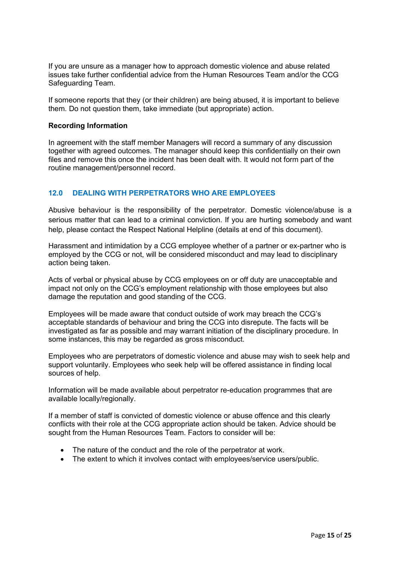If you are unsure as a manager how to approach domestic violence and abuse related issues take further confidential advice from the Human Resources Team and/or the CCG Safeguarding Team.

If someone reports that they (or their children) are being abused, it is important to believe them. Do not question them, take immediate (but appropriate) action.

#### **Recording Information**

In agreement with the staff member Managers will record a summary of any discussion together with agreed outcomes. The manager should keep this confidentially on their own files and remove this once the incident has been dealt with. It would not form part of the routine management/personnel record.

#### **12.0 DEALING WITH PERPETRATORS WHO ARE EMPLOYEES**

Abusive behaviour is the responsibility of the perpetrator. Domestic violence/abuse is a serious matter that can lead to a criminal conviction. If you are hurting somebody and want help, please contact the Respect National Helpline (details at end of this document).

Harassment and intimidation by a CCG employee whether of a partner or ex-partner who is employed by the CCG or not, will be considered misconduct and may lead to disciplinary action being taken.

Acts of verbal or physical abuse by CCG employees on or off duty are unacceptable and impact not only on the CCG's employment relationship with those employees but also damage the reputation and good standing of the CCG.

Employees will be made aware that conduct outside of work may breach the CCG's acceptable standards of behaviour and bring the CCG into disrepute. The facts will be investigated as far as possible and may warrant initiation of the disciplinary procedure. In some instances, this may be regarded as gross misconduct.

Employees who are perpetrators of domestic violence and abuse may wish to seek help and support voluntarily. Employees who seek help will be offered assistance in finding local sources of help.

Information will be made available about perpetrator re-education programmes that are available locally/regionally.

If a member of staff is convicted of domestic violence or abuse offence and this clearly conflicts with their role at the CCG appropriate action should be taken. Advice should be sought from the Human Resources Team. Factors to consider will be:

- The nature of the conduct and the role of the perpetrator at work.
- The extent to which it involves contact with employees/service users/public.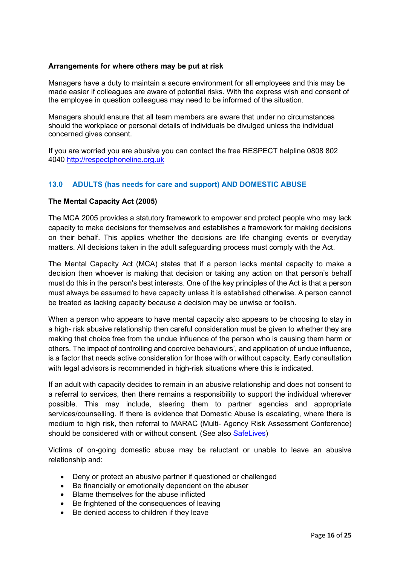# **Arrangements for where others may be put at risk**

Managers have a duty to maintain a secure environment for all employees and this may be made easier if colleagues are aware of potential risks. With the express wish and consent of the employee in question colleagues may need to be informed of the situation.

Managers should ensure that all team members are aware that under no circumstances should the workplace or personal details of individuals be divulged unless the individual concerned gives consent.

If you are worried you are abusive you can contact the free RESPECT helpline 0808 802 4040 [http://respectphoneline.org.uk](http://respectphoneline.org.uk/)

# **13.0 ADULTS (has needs for care and support) AND DOMESTIC ABUSE**

#### **The Mental Capacity Act (2005)**

The MCA 2005 provides a statutory framework to empower and protect people who may lack capacity to make decisions for themselves and establishes a framework for making decisions on their behalf. This applies whether the decisions are life changing events or everyday matters. All decisions taken in the adult safeguarding process must comply with the Act.

The Mental Capacity Act (MCA) states that if a person lacks mental capacity to make a decision then whoever is making that decision or taking any action on that person's behalf must do this in the person's best interests. One of the key principles of the Act is that a person must always be assumed to have capacity unless it is established otherwise. A person cannot be treated as lacking capacity because a decision may be unwise or foolish.

When a person who appears to have mental capacity also appears to be choosing to stay in a high- risk abusive relationship then careful consideration must be given to whether they are making that choice free from the undue influence of the person who is causing them harm or others. The impact of controlling and coercive behaviours', and application of undue influence, is a factor that needs active consideration for those with or without capacity. Early consultation with legal advisors is recommended in high-risk situations where this is indicated.

If an adult with capacity decides to remain in an abusive relationship and does not consent to a referral to services, then there remains a responsibility to support the individual wherever possible. This may include, steering them to partner agencies and appropriate services/counselling. If there is evidence that Domestic Abuse is escalating, where there is medium to high risk, then referral to MARAC (Multi- Agency Risk Assessment Conference) should be considered with or without consent. (See also [SafeLives\)](http://www.safelives.org.uk/)

Victims of on-going domestic abuse may be reluctant or unable to leave an abusive relationship and:

- Deny or protect an abusive partner if questioned or challenged
- Be financially or emotionally dependent on the abuser
- Blame themselves for the abuse inflicted
- Be frightened of the consequences of leaving
- Be denied access to children if they leave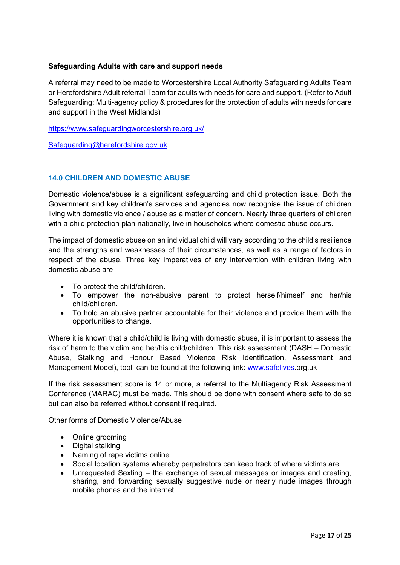# **Safeguarding Adults with care and support needs**

A referral may need to be made to Worcestershire Local Authority Safeguarding Adults Team or Herefordshire Adult referral Team for adults with needs for care and support. (Refer to Adult Safeguarding: Multi-agency policy & procedures for the protection of adults with needs for care and support in the West Midlands)

<https://www.safeguardingworcestershire.org.uk/>

[Safeguarding@herefordshire.gov.uk](mailto:Safeguarding@herefordshire.gov.uk)

# **14.0 CHILDREN AND DOMESTIC ABUSE**

Domestic violence/abuse is a significant safeguarding and child protection issue. Both the Government and key children's services and agencies now recognise the issue of children living with domestic violence / abuse as a matter of concern. Nearly three quarters of children with a child protection plan nationally, live in households where domestic abuse occurs.

The impact of domestic abuse on an individual child will vary according to the child's resilience and the strengths and weaknesses of their circumstances, as well as a range of factors in respect of the abuse. Three key imperatives of any intervention with children living with domestic abuse are

- To protect the child/children.
- To empower the non-abusive parent to protect herself/himself and her/his child/children.
- To hold an abusive partner accountable for their violence and provide them with the opportunities to change.

Where it is known that a child/child is living with domestic abuse, it is important to assess the risk of harm to the victim and her/his child/children. This risk assessment (DASH – Domestic Abuse, Stalking and Honour Based Violence Risk Identification, Assessment and Management Model), tool can be found at the following link: [www.](http://www/)[safelives.](http://www.safelives.org.uk/)org.uk

If the risk assessment score is 14 or more, a referral to the Multiagency Risk Assessment Conference (MARAC) must be made. This should be done with consent where safe to do so but can also be referred without consent if required.

Other forms of Domestic Violence/Abuse

- Online grooming
- Digital stalking
- Naming of rape victims online
- Social location systems whereby perpetrators can keep track of where victims are
- Unrequested Sexting the exchange of sexual messages or images and creating, sharing, and forwarding sexually suggestive nude or nearly nude images through mobile phones and the internet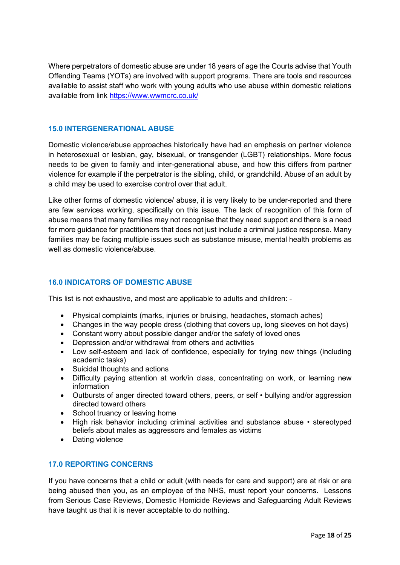Where perpetrators of domestic abuse are under 18 years of age the Courts advise that Youth Offending Teams (YOTs) are involved with support programs. There are tools and resources available to assist staff who work with young adults who use abuse within domestic relations available from link<https://www.wwmcrc.co.uk/>

#### **15.0 INTERGENERATIONAL ABUSE**

Domestic violence/abuse approaches historically have had an emphasis on partner violence in heterosexual or lesbian, gay, bisexual, or transgender (LGBT) relationships. More focus needs to be given to family and inter-generational abuse, and how this differs from partner violence for example if the perpetrator is the sibling, child, or grandchild. Abuse of an adult by a child may be used to exercise control over that adult.

Like other forms of domestic violence/ abuse, it is very likely to be under-reported and there are few services working, specifically on this issue. The lack of recognition of this form of abuse means that many families may not recognise that they need support and there is a need for more guidance for practitioners that does not just include a criminal justice response. Many families may be facing multiple issues such as substance misuse, mental health problems as well as domestic violence/abuse.

#### **16.0 INDICATORS OF DOMESTIC ABUSE**

This list is not exhaustive, and most are applicable to adults and children: -

- Physical complaints (marks, injuries or bruising, headaches, stomach aches)
- Changes in the way people dress (clothing that covers up, long sleeves on hot days)
- Constant worry about possible danger and/or the safety of loved ones
- Depression and/or withdrawal from others and activities
- Low self-esteem and lack of confidence, especially for trying new things (including academic tasks)
- Suicidal thoughts and actions
- Difficulty paying attention at work/in class, concentrating on work, or learning new information
- Outbursts of anger directed toward others, peers, or self bullying and/or aggression directed toward others
- School truancy or leaving home
- High risk behavior including criminal activities and substance abuse stereotyped beliefs about males as aggressors and females as victims
- Dating violence

#### **17.0 REPORTING CONCERNS**

If you have concerns that a child or adult (with needs for care and support) are at risk or are being abused then you, as an employee of the NHS, must report your concerns. Lessons from Serious Case Reviews, Domestic Homicide Reviews and Safeguarding Adult Reviews have taught us that it is never acceptable to do nothing.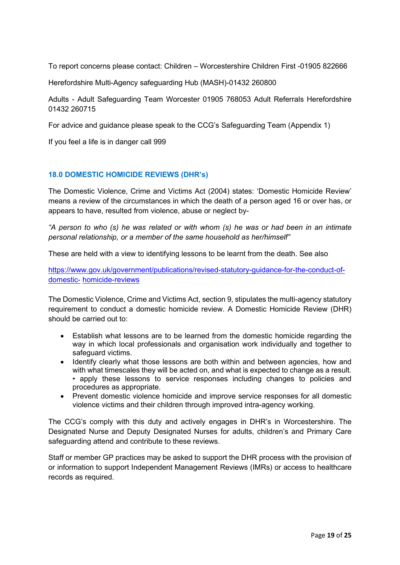To report concerns please contact: Children – Worcestershire Children First -01905 822666

Herefordshire Multi-Agency safeguarding Hub (MASH)-01432 260800

Adults - Adult Safeguarding Team Worcester 01905 768053 Adult Referrals Herefordshire 01432 260715

For advice and guidance please speak to the CCG's Safeguarding Team (Appendix 1)

If you feel a life is in danger call 999

# **18.0 DOMESTIC HOMICIDE REVIEWS (DHR's)**

The Domestic Violence, Crime and Victims Act (2004) states: 'Domestic Homicide Review' means a review of the circumstances in which the death of a person aged 16 or over has, or appears to have, resulted from violence, abuse or neglect by-

*"A person to who (s) he was related or with whom (s) he was or had been in an intimate personal relationship, or a member of the same household as her/himself"*

These are held with a view to identifying lessons to be learnt from the death. See also

[https://www.gov.uk/government/publications/revised-statutory-guidance-for-the-conduct-of](https://www.gov.uk/government/publications/revised-statutory-guidance-for-the-conduct-of-domestic-homicide-reviews)[domestic-](https://www.gov.uk/government/publications/revised-statutory-guidance-for-the-conduct-of-domestic-homicide-reviews) [homicide-reviews](https://www.gov.uk/government/publications/revised-statutory-guidance-for-the-conduct-of-domestic-homicide-reviews)

The Domestic Violence, Crime and Victims Act, section 9, stipulates the multi-agency statutory requirement to conduct a domestic homicide review. A Domestic Homicide Review (DHR) should be carried out to:

- Establish what lessons are to be learned from the domestic homicide regarding the way in which local professionals and organisation work individually and together to safeguard victims.
- Identify clearly what those lessons are both within and between agencies, how and with what timescales they will be acted on, and what is expected to change as a result. • apply these lessons to service responses including changes to policies and procedures as appropriate.
- Prevent domestic violence homicide and improve service responses for all domestic violence victims and their children through improved intra-agency working.

The CCG's comply with this duty and actively engages in DHR's in Worcestershire. The Designated Nurse and Deputy Designated Nurses for adults, children's and Primary Care safeguarding attend and contribute to these reviews.

Staff or member GP practices may be asked to support the DHR process with the provision of or information to support Independent Management Reviews (IMRs) or access to healthcare records as required.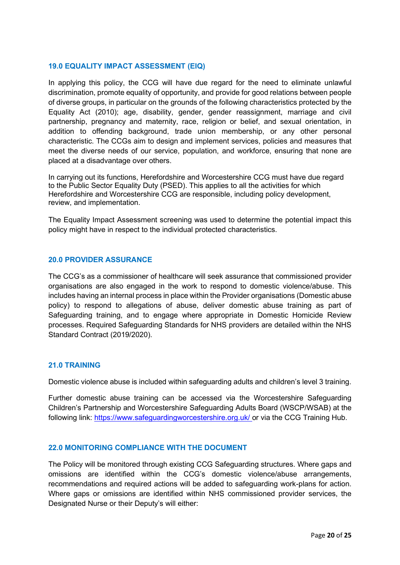# **19.0 EQUALITY IMPACT ASSESSMENT (EIQ)**

In applying this policy, the CCG will have due regard for the need to eliminate unlawful discrimination, promote equality of opportunity, and provide for good relations between people of diverse groups, in particular on the grounds of the following characteristics protected by the Equality Act (2010); age, disability, gender, gender reassignment, marriage and civil partnership, pregnancy and maternity, race, religion or belief, and sexual orientation, in addition to offending background, trade union membership, or any other personal characteristic. The CCGs aim to design and implement services, policies and measures that meet the diverse needs of our service, population, and workforce, ensuring that none are placed at a disadvantage over others.

In carrying out its functions, Herefordshire and Worcestershire CCG must have due regard to the Public Sector Equality Duty (PSED). This applies to all the activities for which Herefordshire and Worcestershire CCG are responsible, including policy development, review, and implementation.

The Equality Impact Assessment screening was used to determine the potential impact this policy might have in respect to the individual protected characteristics.

#### **20.0 PROVIDER ASSURANCE**

The CCG's as a commissioner of healthcare will seek assurance that commissioned provider organisations are also engaged in the work to respond to domestic violence/abuse. This includes having an internal process in place within the Provider organisations (Domestic abuse policy) to respond to allegations of abuse, deliver domestic abuse training as part of Safeguarding training, and to engage where appropriate in Domestic Homicide Review processes. Required Safeguarding Standards for NHS providers are detailed within the NHS Standard Contract (2019/2020).

#### **21.0 TRAINING**

Domestic violence abuse is included within safeguarding adults and children's level 3 training.

Further domestic abuse training can be accessed via the Worcestershire Safeguarding Children's Partnership and Worcestershire Safeguarding Adults Board (WSCP/WSAB) at the following link:<https://www.safeguardingworcestershire.org.uk/> or via the CCG Training Hub.

# **22.0 MONITORING COMPLIANCE WITH THE DOCUMENT**

The Policy will be monitored through existing CCG Safeguarding structures. Where gaps and omissions are identified within the CCG's domestic violence/abuse arrangements, recommendations and required actions will be added to safeguarding work-plans for action. Where gaps or omissions are identified within NHS commissioned provider services, the Designated Nurse or their Deputy's will either: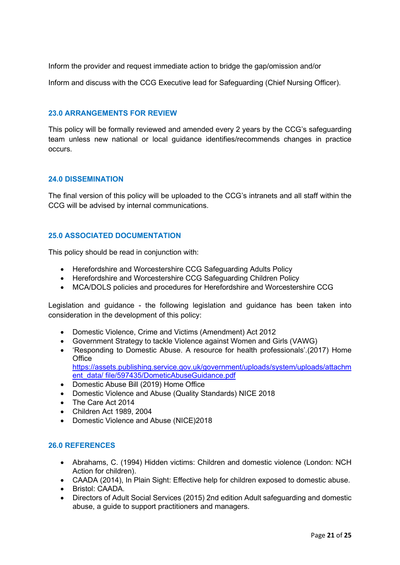Inform the provider and request immediate action to bridge the gap/omission and/or

Inform and discuss with the CCG Executive lead for Safeguarding (Chief Nursing Officer).

# **23.0 ARRANGEMENTS FOR REVIEW**

This policy will be formally reviewed and amended every 2 years by the CCG's safeguarding team unless new national or local guidance identifies/recommends changes in practice occurs.

#### **24.0 DISSEMINATION**

The final version of this policy will be uploaded to the CCG's intranets and all staff within the CCG will be advised by internal communications.

# **25.0 ASSOCIATED DOCUMENTATION**

This policy should be read in conjunction with:

- Herefordshire and Worcestershire CCG Safeguarding Adults Policy
- Herefordshire and Worcestershire CCG Safeguarding Children Policy
- MCA/DOLS policies and procedures for Herefordshire and Worcestershire CCG

Legislation and guidance - the following legislation and guidance has been taken into consideration in the development of this policy:

- Domestic Violence, Crime and Victims (Amendment) Act 2012
- Government Strategy to tackle Violence against Women and Girls (VAWG)
- 'Responding to Domestic Abuse. A resource for health professionals'.(2017) Home **Office** [https://assets.publishing.service.gov.uk/government/uploads/system/uploads/attachm](https://assets.publishing.service.gov.uk/government/uploads/system/uploads/attachment_data/) [ent\\_data/](https://assets.publishing.service.gov.uk/government/uploads/system/uploads/attachment_data/) [file/597435/DometicAbuseGuidance.pdf](https://assets.publishing.service.gov.uk/government/uploads/system/uploads/attachment_data/file/597435/DometicAbuseGuidance.pdf)
- Domestic Abuse Bill (2019) Home Office
- Domestic Violence and Abuse (Quality Standards) NICE 2018
- The Care Act 2014
- Children Act 1989, 2004
- Domestic Violence and Abuse (NICE)2018

#### **26.0 REFERENCES**

- Abrahams, C. (1994) Hidden victims: Children and domestic violence (London: NCH Action for children).
- CAADA (2014), In Plain Sight: Effective help for children exposed to domestic abuse.
- Bristol: CAADA.
- Directors of Adult Social Services (2015) 2nd edition Adult safeguarding and domestic abuse, a guide to support practitioners and managers.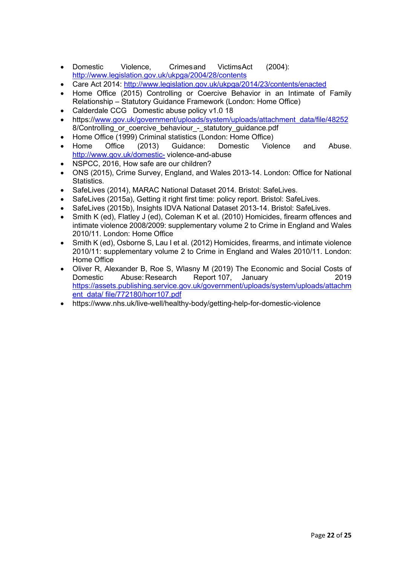- Domestic Violence, Crimesand VictimsAct (2004): <http://www.legislation.gov.uk/ukpga/2004/28/contents>
- Care Act 2014:<http://www.legislation.gov.uk/ukpga/2014/23/contents/enacted>
- Home Office (2015) Controlling or Coercive Behavior in an Intimate of Family Relationship – Statutory Guidance Framework (London: Home Office)
- Calderdale CCG Domestic abuse policy v1.0 18
- https:/[/www.gov.uk/government/uploads/system/uploads/attachment\\_data/file/48252](http://www.gov.uk/government/uploads/system/uploads/attachment_data/file/48252) 8/Controlling or coercive behaviour - statutory guidance.pdf
- 
- Home Office (1999) Criminal statistics (London: Home Office) • Home Office (2013) Guidance: Domestic Violence and Abuse. <http://www.gov.uk/domestic-> violence-and-abuse
- NSPCC, 2016, How safe are our children?
- ONS (2015), Crime Survey, England, and Wales 2013-14. London: Office for National **Statistics**
- SafeLives (2014), MARAC National Dataset 2014. Bristol: SafeLives.
- SafeLives (2015a), Getting it right first time: policy report. Bristol: SafeLives.
- SafeLives (2015b), Insights IDVA National Dataset 2013-14. Bristol: SafeLives.
- Smith K (ed), Flatley J (ed), Coleman K et al. (2010) Homicides, firearm offences and intimate violence 2008/2009: supplementary volume 2 to Crime in England and Wales 2010/11. London: Home Office
- Smith K (ed), Osborne S, Lau I et al. (2012) Homicides, firearms, and intimate violence 2010/11: supplementary volume 2 to Crime in England and Wales 2010/11. London: Home Office
- Oliver R, Alexander B, Roe S, Wlasny M (2019) The Economic and Social Costs of Domestic Abuse: Research Report 107, January 2019 [https://assets.publishing.service.gov.uk/government/uploads/system/uploads/attachm](https://assets.publishing.service.gov.uk/government/uploads/system/uploads/attachment_data/) [ent\\_data/](https://assets.publishing.service.gov.uk/government/uploads/system/uploads/attachment_data/) [file/772180/horr107.pdf](https://assets.publishing.service.gov.uk/government/uploads/system/uploads/attachment_data/file/772180/horr107.pdf)
- https://www.nhs.uk/live-well/healthy-body/getting-help-for-domestic-violence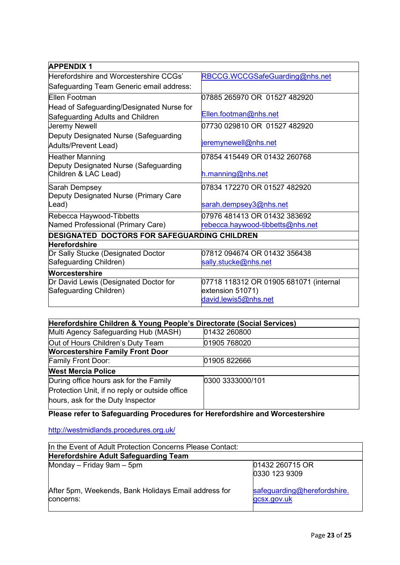| <b>APPENDIX 1</b>                                   |                                        |
|-----------------------------------------------------|----------------------------------------|
| Herefordshire and Worcestershire CCGs'              | RBCCG.WCCGSafeGuarding@nhs.net         |
| Safeguarding Team Generic email address:            |                                        |
| Ellen Footman                                       | 07885 265970 OR 01527 482920           |
| Head of Safeguarding/Designated Nurse for           |                                        |
| Safeguarding Adults and Children                    | Ellen.footman@nhs.net                  |
| Jeremy Newell                                       | 07730 029810 OR 01527 482920           |
| Deputy Designated Nurse (Safeguarding               |                                        |
| Adults/Prevent Lead)                                | jeremynewell@nhs.net                   |
| <b>Heather Manning</b>                              | 07854 415449 OR 01432 260768           |
| Deputy Designated Nurse (Safeguarding               |                                        |
| Children & LAC Lead)                                | h.manning@nhs.net                      |
| Sarah Dempsey                                       | l07834 172270 OR 01527 482920          |
| Deputy Designated Nurse (Primary Care               |                                        |
| Lead)                                               | sarah.dempsey3@nhs.net                 |
| Rebecca Haywood-Tibbetts                            | 07976 481413 OR 01432 383692           |
| Named Professional (Primary Care)                   | rebecca.haywood-tibbetts@nhs.net       |
| <b>DESIGNATED DOCTORS FOR SAFEGUARDING CHILDREN</b> |                                        |
| <b>Herefordshire</b>                                |                                        |
| Dr Sally Stucke (Designated Doctor                  | 07812 094674 OR 01432 356438           |
| Safeguarding Children)                              | sally.stucke@nhs.net                   |
| <b>Worcestershire</b>                               |                                        |
| Dr David Lewis (Designated Doctor for               | 07718 118312 OR 01905 681071 (internal |
| Safeguarding Children)                              | extension 51071)                       |
|                                                     | david.lewis5@nhs.net                   |

| Herefordshire Children & Young People's Directorate (Social Services)                                                         |                  |  |  |
|-------------------------------------------------------------------------------------------------------------------------------|------------------|--|--|
| Multi Agency Safeguarding Hub (MASH)                                                                                          | 01432 260800     |  |  |
| Out of Hours Children's Duty Team                                                                                             | 01905 768020     |  |  |
| <b>Worcestershire Family Front Door</b>                                                                                       |                  |  |  |
| <b>Family Front Door:</b>                                                                                                     | 01905 822666     |  |  |
| <b>West Mercia Police</b>                                                                                                     |                  |  |  |
| During office hours ask for the Family<br>Protection Unit, if no reply or outside office<br>hours, ask for the Duty Inspector | 0300 3333000/101 |  |  |

**Please refer to Safeguarding Procedures for Herefordshire and Worcestershire**

<http://westmidlands.procedures.org.uk/>

| In the Event of Adult Protection Concerns Please Contact:         |                                            |  |
|-------------------------------------------------------------------|--------------------------------------------|--|
| <b>Herefordshire Adult Safeguarding Team</b>                      |                                            |  |
| Monday $-$ Friday 9am $-$ 5pm                                     | 01432 260715 OR<br>0330 123 9309           |  |
| After 5pm, Weekends, Bank Holidays Email address for<br>concerns: | safeguarding@herefordshire.<br>gcsx.gov.uk |  |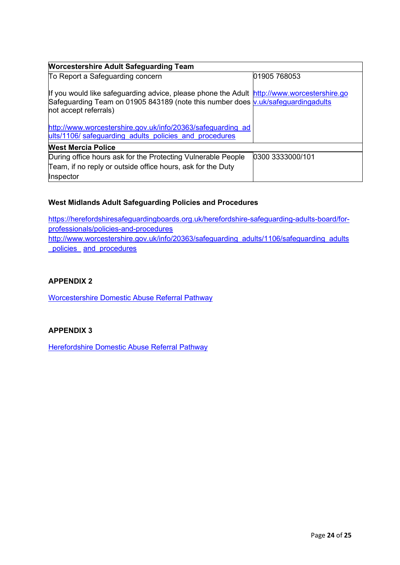| <b>Worcestershire Adult Safeguarding Team</b>                                                                                                                                                           |                  |  |  |
|---------------------------------------------------------------------------------------------------------------------------------------------------------------------------------------------------------|------------------|--|--|
| To Report a Safeguarding concern                                                                                                                                                                        | 01905 768053     |  |  |
| If you would like safeguarding advice, please phone the Adult http://www.worcestershire.go<br>Safeguarding Team on 01905 843189 (note this number does v.uk/safeguardingadults<br>not accept referrals) |                  |  |  |
| http://www.worcestershire.gov.uk/info/20363/safeguarding ad<br>ults/1106/safeguarding adults policies and procedures                                                                                    |                  |  |  |
| <b>West Mercia Police</b>                                                                                                                                                                               |                  |  |  |
| During office hours ask for the Protecting Vulnerable People                                                                                                                                            | 0300 3333000/101 |  |  |
| Team, if no reply or outside office hours, ask for the Duty                                                                                                                                             |                  |  |  |
| Inspector                                                                                                                                                                                               |                  |  |  |

# **West Midlands Adult Safeguarding Policies and Procedures**

[https://herefordshiresafeguardingboards.org.uk/herefordshire-safeguarding-adults-board/for](https://herefordshiresafeguardingboards.org.uk/herefordshire-safeguarding-adults-board/for-)[professionals/policies-and-procedures](https://herefordshiresafeguardingboards.org.uk/herefordshire-safeguarding-adults-board/for-professionals/policies-and-procedures) [http://www.worcestershire.gov.uk/info/20363/safeguarding\\_adults/1106/safeguarding\\_adults](http://www.worcestershire.gov.uk/info/20363/safeguarding_adults/1106/safeguarding_adults_policies_and_procedures) [\\_policies\\_](http://www.worcestershire.gov.uk/info/20363/safeguarding_adults/1106/safeguarding_adults_policies_and_procedures) [and\\_procedures](http://www.worcestershire.gov.uk/info/20363/safeguarding_adults/1106/safeguarding_adults_policies_and_procedures)

# **APPENDIX 2**

[Worcestershire Domestic Abuse Referral Pathway](http://www.worcestershire.gov.uk/downloads/file/9872/domestic_abuse_pathway)

# **APPENDIX 3**

[Herefordshire Domestic Abuse Referral Pathway](https://herefordshiresafeguardingboards.org.uk/media/7693/domestic-abuse-referral-form-hfd3690.pdf)